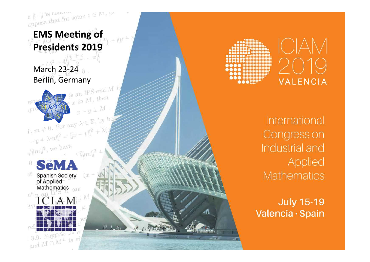e  $\|\cdot\|$  is comment some  $z \in M$ ,  $\mathbb{R}^m$ <br>uppose that for some  $z \in M$ ,  $\mathbb{R}^m$ 





**ICIAM VALENCIA** 

International Congress on Industrial and Applied **Mathematics** 

**July 15-19** Valencia · Spain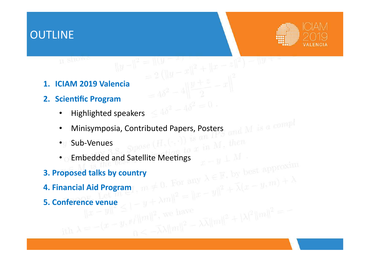### **OUTLINE**



- **1. ICIAM 2019 Valencia**
- **2. Scientific Program**

**IL SHOWS** 

- Highlighted speakers  $\leq 4\delta^2-4\delta^2=0$
- Minisymposia, Contributed Papers, Posters

 $||y - ||^2 = ||(y -$ 

=  $\frac{||(y-x)||}{||(y-x)||^2 + ||x-z||^2}$  =  $\frac{||(y-x)||}{||(y+z-x)||^2}$ 

 $\|f-g\|_{\text{min}}^2$ , we have<br> $\|f\|_{\text{min}}^2 = \lambda \|\|m\|^2 + |\lambda|^2 \|m\|^2 = \lambda \|\|m\|^2 + \lambda \|\|m\|^2$ 

- Sub-Venues
- exactly subset (H, California M, then composed of the Spose (H, California M, then
- **3. Proposed talks by country**
- **4. Financial Aid Program 5. Conference venue**<br>  $\|x - y\|^{2} \leq |y + \lambda m\|^{2} = \|x - y\|^{2} + \lambda (x - y, m) + \lambda$ <br>  $\|x - y\|^{2} \leq |y + \lambda m\|^{2}$ , we have<br>  $\|\lambda = -(x - y, \|x\|)^{2}$ , we have
-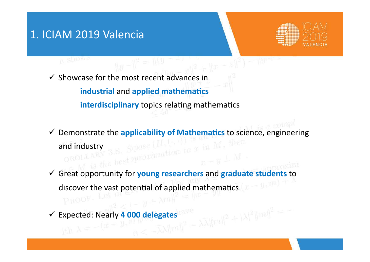### 1. ICIAM 2019 Valencia



Showcase for the most recent advances in **industrial and applied mathematics interdisciplinary** topics relating mathematics

- Y Demonstrate the *applicability of Mathematics* to science, engineering and industry  $3.8.$  Spose (H<sub>2</sub>N<sub>2</sub>) to  $x$
- ! Great opportunity for **young researchers** and **graduate students** to discover the vast potential of applied mathematics
- $\blacktriangledown$  Expected: Nearly 4 000 delegates<sup>have</sup><br>ith  $\lambda = -(\mathbb{C} \mathbb{C} \mathbb{C})$  and  $\mathbb{C}$  is the  $\mathbb{C}^2$   $\mathbb{C}$  and  $\mathbb{C}^2$   $\mathbb{C}$  and  $\mathbb{C}^2$   $\mathbb{C}$  and  $\mathbb{C}^2$   $\mathbb{C}$  and  $\mathbb{C}^2$   $\mathbb{C}$  and  $\math$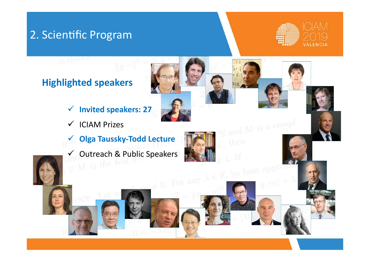### 2. Scientific Program

II SHOWS



### **Highlighted speakers**

- ! **Invited speakers: 27**
- $\checkmark$  ICIAM Prizes
- ! **Olga Taussky-Todd Lecture**
- V Outreach & Public Speakers

 $\neq 0$ . For any  $\lambda \in \mathbb{F}$ , by best approx  $y, m$ )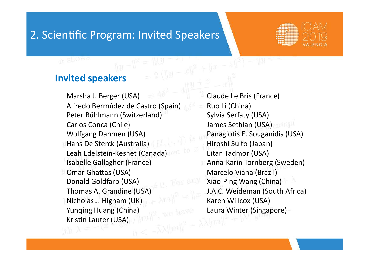### 2. Scientific Program: Invited Speakers



### **Invited speakers**

Marsha J. Berger (USA) Alfredo Bermúdez de Castro (Spain) Peter Bühlmann (Switzerland) Carlos Conca (Chile) Wolfgang Dahmen (USA) Hans De Sterck (Australia) Leah Edelstein-Keshet (Canada) Isabelle Gallagher (France) Omar Ghattas (USA) Donald Goldfarb (USA) Thomas A. Grandine (USA) Nicholas J. Higham (UK) Yunqing Huang (China) Kristin Lauter (USA)

Claude Le Bris (France) Ruo Li (China) Sylvia Serfaty (USA) James Sethian (USA) Panagiotis E. Souganidis (USA) Hiroshi Suito (Japan) Eitan Tadmor (USA) Anna-Karin Tornberg (Sweden) Marcelo Viana (Brazil) Xiao-Ping Wang (China) J.A.C. Weideman (South Africa) Karen Willcox (USA) Laura Winter (Singapore)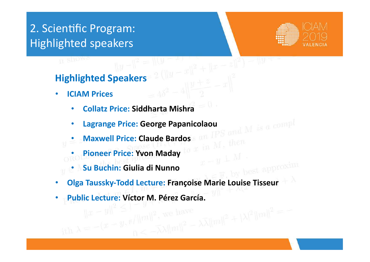## 2. Scientific Program: Highlighted speakers



### **Highlighted Speakers**

- **ICIAM Prices** 
	- **Collatz Price: Siddharta Mishra**
	- **Lagrange Price: George Papanicolaou**<br>• Maywell Drie of
	- **Maxwell Price: Claude Bardos**
	- **Pioneer Price: Yvon Maday**
	- **Su Buchin: Giulia di Nunno**
- **Olga Taussky-Todd Lecture: Françoise Marie Louise Tisseur**
- **Public Lecture: Víctor M. Pérez García.**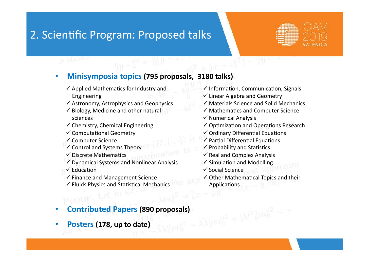### 2. Scientific Program: Proposed talks



### • Minisymposia topics (795 proposals, 3180 talks)

- $\checkmark$  Applied Mathematics for Industry and Engineering
- $\checkmark$  Astronomy, Astrophysics and Geophysics
- $\checkmark$  Biology, Medicine and other natural sciences
- $\checkmark$  Chemistry, Chemical Engineering
- $\checkmark$  Computational Geometry
- $\checkmark$  Computer Science
- $\checkmark$  Control and Systems Theory
- $\checkmark$  Discrete Mathematics
- $\checkmark$  Dynamical Systems and Nonlinear Analysis
- $\checkmark$  Education
- $\checkmark$  Finance and Management Science
- $\checkmark$  Fluids Physics and Statistical Mechanics

# • **Contributed Papers (890 proposals)**<br>• Posters (178, up to date)

Posters (178, up to date)

- $\checkmark$  Information, Communication, Signals
- $\checkmark$  Linear Algebra and Geometry
- $\checkmark$  Materials Science and Solid Mechanics
- $\checkmark$  Mathematics and Computer Science
- $\checkmark$  Numerical Analysis
- $\checkmark$  Optimization and Operations Research
- $\checkmark$  Ordinary Differential Equations
- $\checkmark$  Partial Differential Equations
- $\checkmark$  Probability and Statistics
- $\checkmark$  Real and Complex Analysis
- $\checkmark$  Simulation and Modelling
- $\checkmark$  Social Science
- $\checkmark$  Other Mathematical Topics and their **Applications**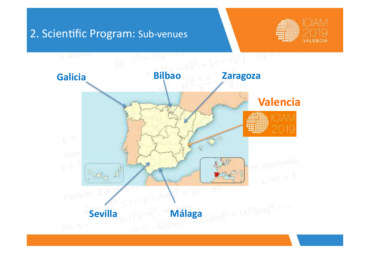### 2. Scientific Program: Sub-venues



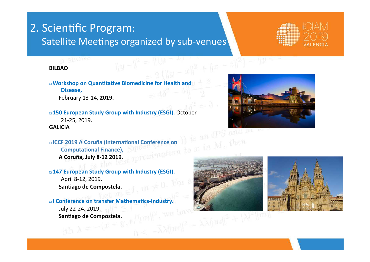### 2. Scientific Program: Satellite Meetings organized by sub-venues



#### **BILBAO**

**u** Workshop on Quantitative Biomedicine for Health and Disease, **February 13-14, 2019.** 

**u 150 European Study Group with Industry (ESGI).** October 21-25, 2019.  **GALICIA** 

**EXECT 2019 A Coruña (International Conference on**<br> **IS COMPUTE COMPUTER CONVERGENCE A Coruña, July 8-12 2010 Computational Finance), A Coruña, July 8-12 2019**. 

**u 147 European Study Group with Industry (ESGI).** April 8-12, 2019. Santiago de Compostela.

**al Conference on transfer Mathematics-Industry.** July 22-24, 2019. Santiago de Compostela.





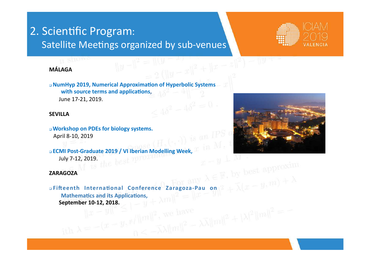### 2. Scientific Program: Satellite Meetings organized by sub-venues



### **MÁLAGA**

**a NumHyp 2019, Numerical Approximation of Hyperbolic Systems** with source terms and applications, June 17-21, 2019.

#### **SEVILLA**

**a Workshop on PDEs for biology systems.** April 8-10, 2019

**ECMI Post-Graduate 2019 / VI Iberian Modelling Week,**<br>July 7-12, 2019. July 7-12, 2019.

#### **ZARAGOZA**

**aFifteenth International Conference Zaragoza-Pau on Mathematics and its Applications, September 10-12, 2018.**<br> $\|x-y\|^2 \leq 1$  we have  $\|f - f\|_{\text{min}}^2$ , we have<br>  $\|f - f\|_{\text{min}}^2 = \sqrt{2\|f - f\|_{\text{min}}^2}$ <br>  $\|f - f\|_{\text{min}}^2 = \sqrt{2\|f - f\|_{\text{min}}^2}$ 

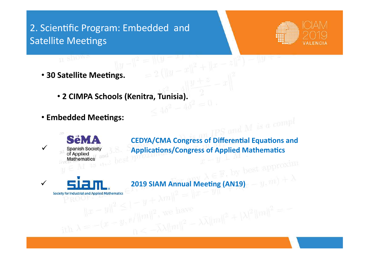### 2. Scientific Program: Embedded and **Satellite Meetings**



**• 30 Satellite Meetings.** 

**IN SHOWS** 

- **2 CIMPA Schools (Kenitra, Tunisia).**
- **Embedded Meetings:**



**CEDYA/CMA Congress of Differential Equations and Applications/Congress of Applied Mathematics** 

 $\|\mathcal{L}\|_{m}\|^{2}$ , we have<br>  $\|\mathcal{L}\|_{m}\|^{2} = \sqrt{\lambda} \|\mathcal{L}\|_{m}\|^{2} + |\lambda|^{2} \|\mathcal{L}\|^{2} = \sqrt{\lambda}$ 

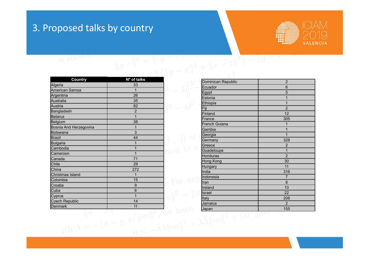### 3. Proposed talks by country



**IL SHOWS** 

| <b>Country</b>         | Nº of talks    |                 |
|------------------------|----------------|-----------------|
| Algeria                | 33             |                 |
| American Samoa         | 1              |                 |
| Argentina              | 26             |                 |
| Australia              | 35             |                 |
| Austria                | 82             |                 |
| Bangladesh             | $\overline{2}$ |                 |
| <b>Belarus</b>         | 1              |                 |
| Belgium                | 38             |                 |
| Bosnia And Herzegovina | 1              |                 |
| <b>Botswana</b>        | 3              |                 |
| <b>Brazil</b>          | 44             |                 |
| <b>Bulgaria</b>        | 1              |                 |
| Cambodia               | 1              | ion to x        |
| Cameroon               | 1              |                 |
| Canada                 | 71             |                 |
| Chile                  | 29             |                 |
| China                  | 272            |                 |
| Christmas Island       | 1              |                 |
| Colombia               | 15             |                 |
| Croatia                | 9              |                 |
| Cuba                   | 6              |                 |
| Cyprus                 | 1              |                 |
| <b>Czech Republic</b>  | 14             |                 |
| Denmark                | 11             | <b>Lease CP</b> |
|                        |                |                 |

| Dominican Republic | $\overline{2}$ |
|--------------------|----------------|
| Ecuador            | 6              |
| Egypt              | 5              |
| Estonia            | 1              |
| Ethiopia           | $\overline{1}$ |
| Fiji               | $\overline{2}$ |
| Finland            | 12             |
| France             | 305            |
| French Guiana      | 1              |
| Gambia             | 1              |
| Georgia            | 1              |
| Germany            | 328            |
| Greece             | $\overline{2}$ |
| Guadeloupe         | 1              |
| Honduras           | $\overline{2}$ |
| Hong Kong          | 30             |
| Hungary            | 11             |
| India              | 316            |
| Indonesia          | $\overline{7}$ |
| Iran               | 8              |
| Ireland            | 10             |
| Israel             | 22             |
| Italy              | 208            |
| Jamaica            | $\overline{2}$ |
| Japan              | 155            |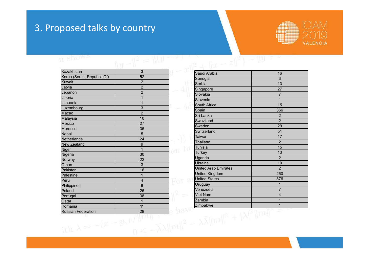### 3. Proposed talks by country



### IL SHOWS

| <b>SLOW-</b><br>R          |                |  |
|----------------------------|----------------|--|
| Kazakhstan                 | 3              |  |
| Korea (South, Republic Of) | 52             |  |
| Kuwait                     | $\overline{2}$ |  |
| Latvia                     | $\overline{2}$ |  |
| Lebanon                    | $\overline{2}$ |  |
| Liberia                    | 1              |  |
| Lithuania                  | 1              |  |
| Luxembourg                 | 3              |  |
| Macao                      | $\overline{2}$ |  |
| Malaysia                   | 10             |  |
| Mexico                     | 27             |  |
| Morocco                    | 36             |  |
| Nepal                      | 5              |  |
| Netherlands                | 24             |  |
| New Zealand                | 9              |  |
| Niger                      | 1<br>19        |  |
| Nigeria                    | 30             |  |
| Norway                     | 22             |  |
| <b>Oman</b>                | $\overline{3}$ |  |
| Pakistan                   | 16             |  |
| Palestine                  | 1              |  |
| Peru                       | 4              |  |
| Philippines                | 8              |  |
| Poland                     | 26             |  |
| Portugal                   | 38             |  |
| Qatar                      | 1              |  |
| Romania                    | 11             |  |
| Russian Federation         | 28             |  |

 $\begin{picture}(180,10) \put(0,0){\line(1,0){10}} \put(10,0){\line(1,0){10}} \put(10,0){\line(1,0){10}} \put(10,0){\line(1,0){10}} \put(10,0){\line(1,0){10}} \put(10,0){\line(1,0){10}} \put(10,0){\line(1,0){10}} \put(10,0){\line(1,0){10}} \put(10,0){\line(1,0){10}} \put(10,0){\line(1,0){10}} \put(10,0){\line(1,0){10}} \put(10,0){\line($ Senegal 3 Serbia 13 Singapore 27 Slovakia 7 Slovenia **1** 1 South Africa 15 Spain 366 Sri Lanka 2 Swaziland 2 Sweden 29 Switzerland 51 Taiwan 17 Thailand 2 Tunisia 15 Turkey 13 Uganda 2 Ukraine 10 United Arab Emirates **2** and 2 United Kingdom 260 United States 876 Uruguay 1 Venezuela 7 Viet Nam 4 Zambia 1 Zimbabwe 1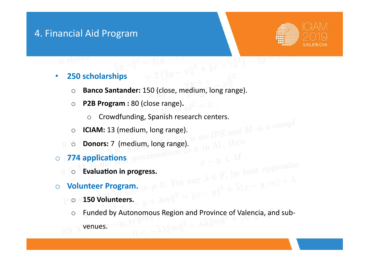### 4. Financial Aid Program

**IT SHOWS** 



### • **250 scholarships**

o **Banco Santander:** 150 (close, medium, long range).

 $\frac{1}{|x|^2 + |x - z|^2} = \|y\|^2$ 

- **o P2B Program :** 80 (close range). **2 10** 
	- o Crowdfunding, Spanish research centers.<br>CIAM: 13 (medium, long range).
- o **ICIAM:** 13 (medium, long range).
- o **Donors:** 7 (medium, long range).
- o **774 applications** appointmention
	- $\circ$  **Evaluation in progress.**
- o **Volunteer Program.** 
	- o **150 Volunteers.**
- o **150 Volunteers.**<br>
o **150 Volunteers.**<br>  $\mathbf{y} = \lambda m \mathbf{1} \mathbf{2} + \lambda (x y, m) + \lambda$ <br>
o Funded by Autonomous Region and Province of Valencia, and sub-<br> **All mulles and Sub**
	- venues.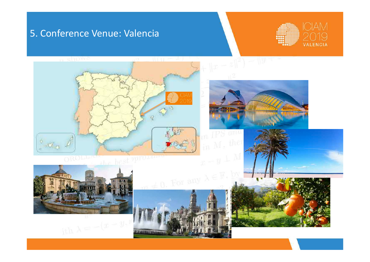### 5. Conference Venue: Valencia



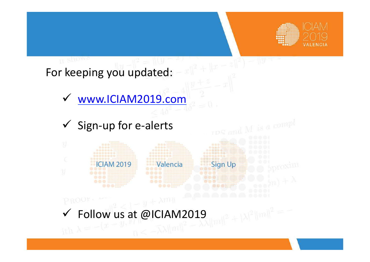